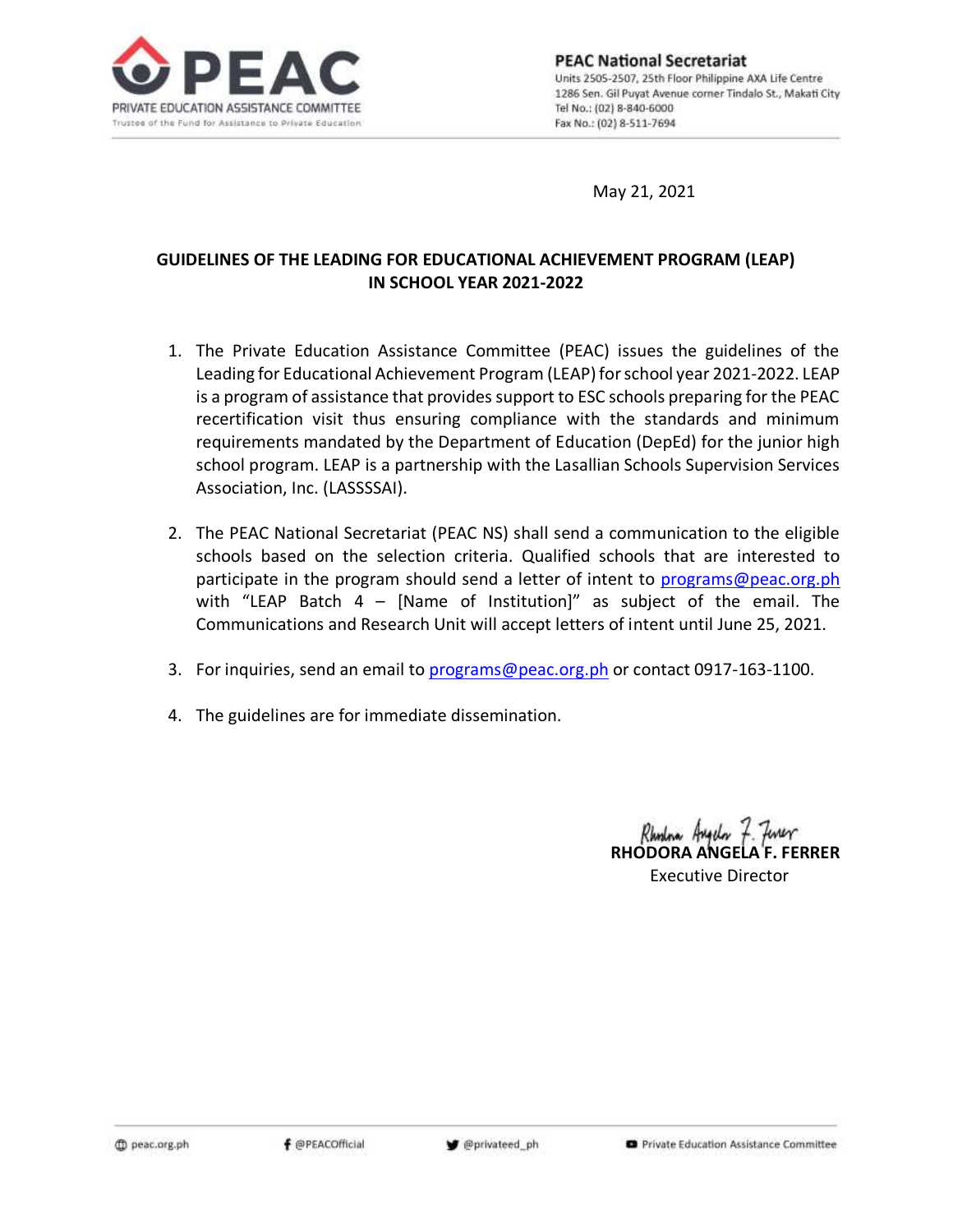

May 21, 2021

# **GUIDELINES OF THE LEADING FOR EDUCATIONAL ACHIEVEMENT PROGRAM (LEAP) IN SCHOOL YEAR 2021-2022**

- 1. The Private Education Assistance Committee (PEAC) issues the guidelines of the Leading for Educational Achievement Program (LEAP) for school year 2021-2022. LEAP is a program of assistance that provides support to ESC schools preparing for the PEAC recertification visit thus ensuring compliance with the standards and minimum requirements mandated by the Department of Education (DepEd) for the junior high school program. LEAP is a partnership with the Lasallian Schools Supervision Services Association, Inc. (LASSSSAI).
- 2. The PEAC National Secretariat (PEAC NS) shall send a communication to the eligible schools based on the selection criteria. Qualified schools that are interested to participate in the program should send a letter of intent to [programs@peac.org.ph](mailto:programs@peac.org.ph) with "LEAP Batch  $4$  – [Name of Institution]" as subject of the email. The Communications and Research Unit will accept letters of intent until June 25, 2021.
- 3. For inquiries, send an email to [programs@peac.org.ph](mailto:programs@peac.org.ph) or contact 0917-163-1100.
- 4. The guidelines are for immediate dissemination.

Rhodna Augelor F. Finer **RHODORA ANGELA F. FERRER** Executive Director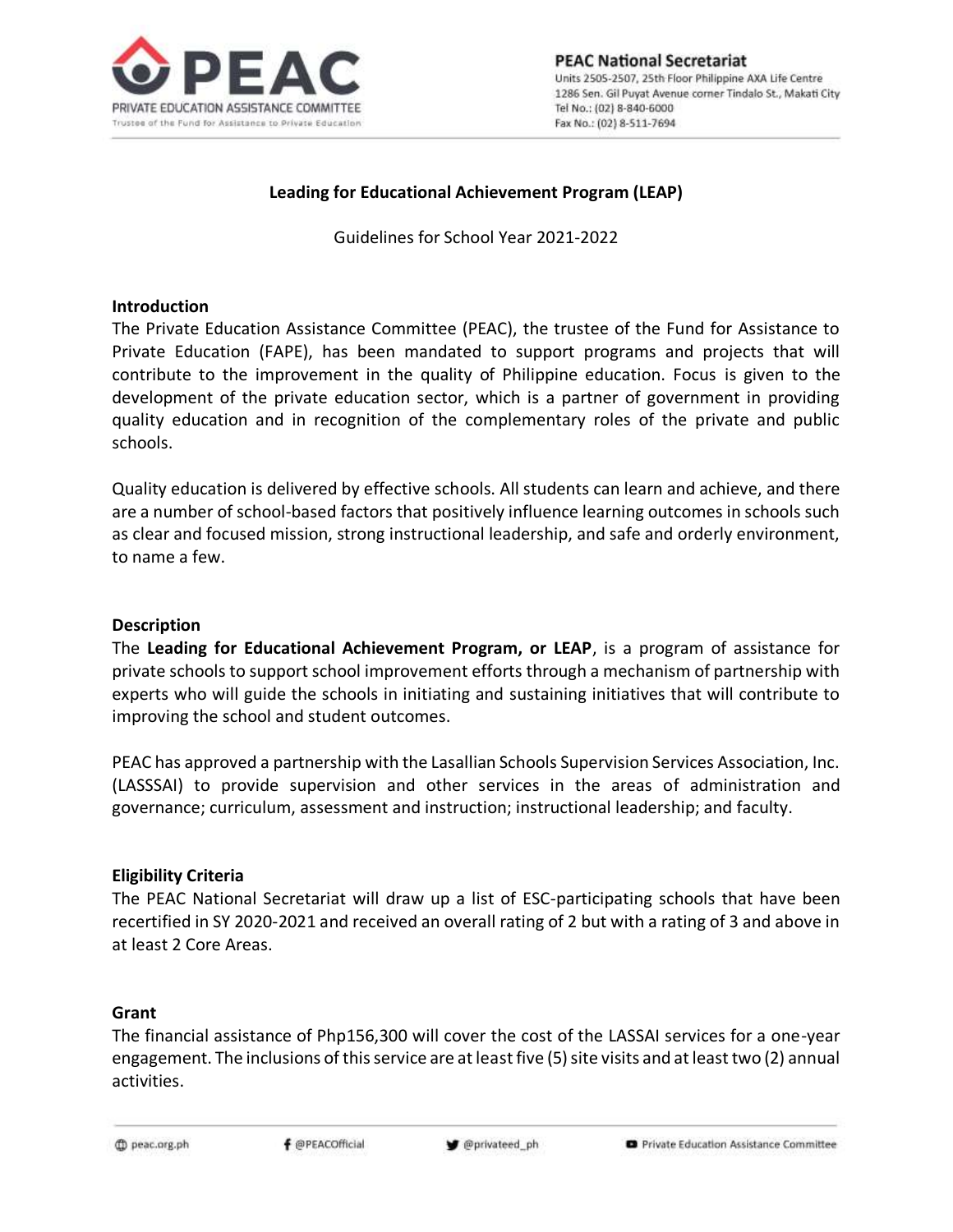

## **Leading for Educational Achievement Program (LEAP)**

Guidelines for School Year 2021-2022

#### **Introduction**

The Private Education Assistance Committee (PEAC), the trustee of the Fund for Assistance to Private Education (FAPE), has been mandated to support programs and projects that will contribute to the improvement in the quality of Philippine education. Focus is given to the development of the private education sector, which is a partner of government in providing quality education and in recognition of the complementary roles of the private and public schools.

Quality education is delivered by effective schools. All students can learn and achieve, and there are a number of school-based factors that positively influence learning outcomes in schools such as clear and focused mission, strong instructional leadership, and safe and orderly environment, to name a few.

#### **Description**

The **Leading for Educational Achievement Program, or LEAP**, is a program of assistance for private schools to support school improvement efforts through a mechanism of partnership with experts who will guide the schools in initiating and sustaining initiatives that will contribute to improving the school and student outcomes.

PEAC has approved a partnership with the Lasallian Schools Supervision Services Association, Inc. (LASSSAI) to provide supervision and other services in the areas of administration and governance; curriculum, assessment and instruction; instructional leadership; and faculty.

### **Eligibility Criteria**

The PEAC National Secretariat will draw up a list of ESC-participating schools that have been recertified in SY 2020-2021 and received an overall rating of 2 but with a rating of 3 and above in at least 2 Core Areas.

### **Grant**

The financial assistance of Php156,300 will cover the cost of the LASSAI services for a one-year engagement. The inclusions of this service are at least five (5) site visits and at least two (2) annual activities.